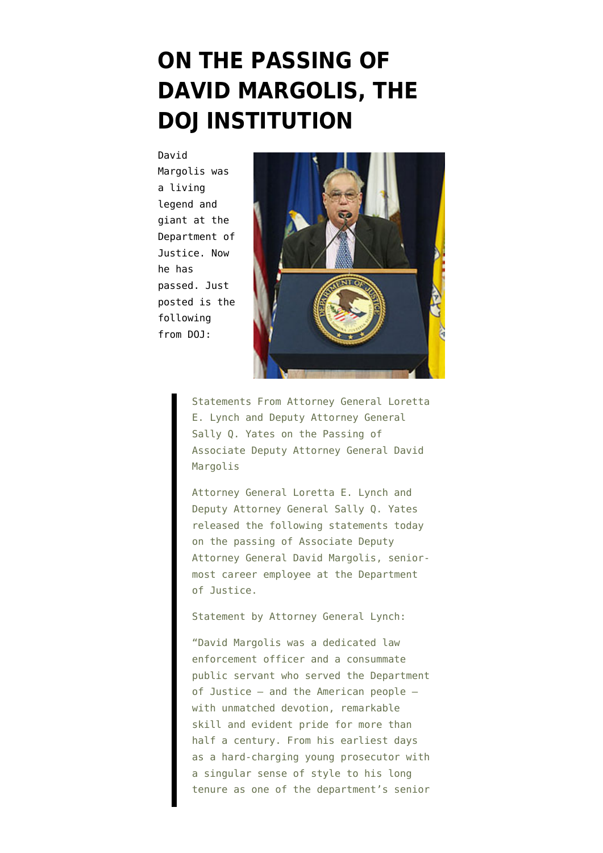## **[ON THE PASSING OF](https://www.emptywheel.net/2016/07/13/on-the-passing-of-david-margolis-the-doj-institution/) [DAVID MARGOLIS, THE](https://www.emptywheel.net/2016/07/13/on-the-passing-of-david-margolis-the-doj-institution/) [DOJ INSTITUTION](https://www.emptywheel.net/2016/07/13/on-the-passing-of-david-margolis-the-doj-institution/)**

David

Margolis was a living legend and giant at the Department of Justice. Now he has passed. [Just](https://www.justice.gov/opa/pr/statements-attorney-general-loretta-e-lynch-and-deputy-attorney-general-sally-q-yates-passing) [posted is the](https://www.justice.gov/opa/pr/statements-attorney-general-loretta-e-lynch-and-deputy-attorney-general-sally-q-yates-passing) [following](https://www.justice.gov/opa/pr/statements-attorney-general-loretta-e-lynch-and-deputy-attorney-general-sally-q-yates-passing) [from DOJ:](https://www.justice.gov/opa/pr/statements-attorney-general-loretta-e-lynch-and-deputy-attorney-general-sally-q-yates-passing)



Statements From Attorney General Loretta E. Lynch and Deputy Attorney General Sally Q. Yates on the Passing of Associate Deputy Attorney General David Margolis

Attorney General Loretta E. Lynch and Deputy Attorney General Sally Q. Yates released the following statements today on the passing of Associate Deputy Attorney General David Margolis, seniormost career employee at the Department of Justice.

Statement by Attorney General Lynch:

"David Margolis was a dedicated law enforcement officer and a consummate public servant who served the Department of Justice – and the American people – with unmatched devotion, remarkable skill and evident pride for more than half a century. From his earliest days as a hard-charging young prosecutor with a singular sense of style to his long tenure as one of the department's senior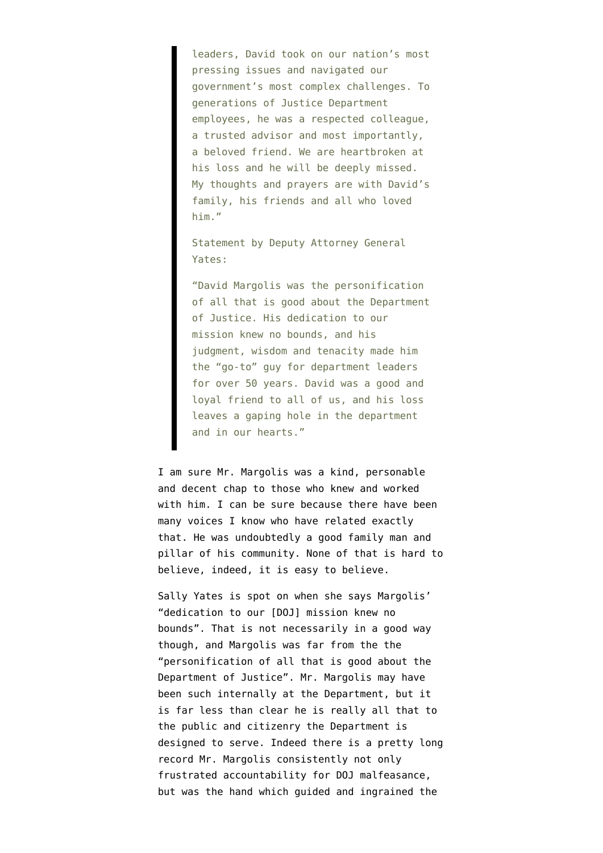leaders, David took on our nation's most pressing issues and navigated our government's most complex challenges. To generations of Justice Department employees, he was a respected colleague, a trusted advisor and most importantly, a beloved friend. We are heartbroken at his loss and he will be deeply missed. My thoughts and prayers are with David's family, his friends and all who loved him."

Statement by Deputy Attorney General Yates:

"David Margolis was the personification of all that is good about the Department of Justice. His dedication to our mission knew no bounds, and his judgment, wisdom and tenacity made him the "go-to" guy for department leaders for over 50 years. David was a good and loyal friend to all of us, and his loss leaves a gaping hole in the department and in our hearts."

I am sure Mr. Margolis was a kind, personable and decent chap to those who knew and worked with him. I can be sure because there have been many voices I know who have related exactly that. He was undoubtedly a good family man and pillar of his community. None of that is hard to believe, indeed, it is easy to believe.

Sally Yates is spot on when she says Margolis' "dedication to our [DOJ] mission knew no bounds". That is not necessarily in a good way though, and Margolis was far from the the "personification of all that is good about the Department of Justice". Mr. Margolis may have been such internally at the Department, but it is far less than clear he is really all that to the public and citizenry the Department is designed to serve. Indeed there is a pretty long record Mr. Margolis consistently not only frustrated accountability for DOJ malfeasance, but was the hand which guided and ingrained the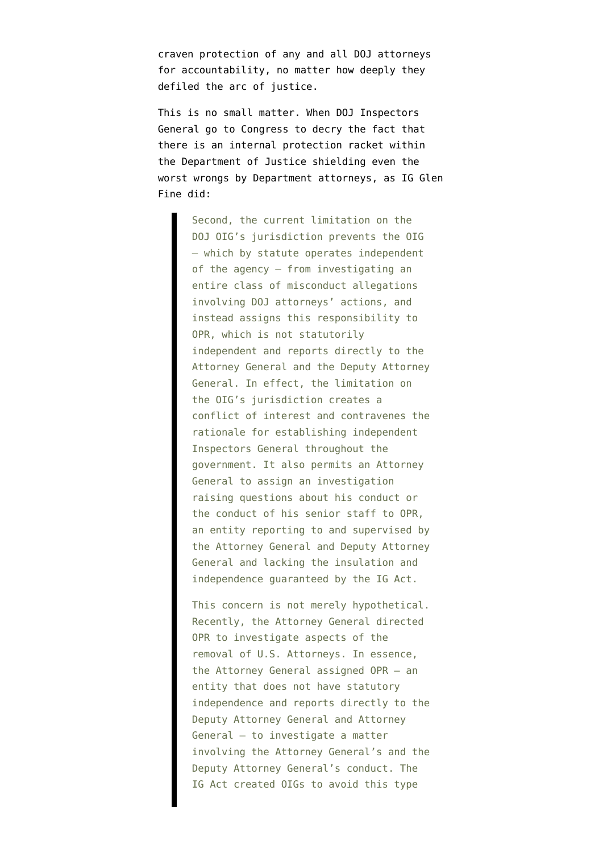craven protection of any and all DOJ attorneys for accountability, no matter how deeply they defiled the arc of justice.

This is no small matter. When DOJ Inspectors General go to Congress to decry the fact that there is an internal protection racket within the Department of Justice shielding even the worst wrongs by Department attorneys, as [IG Glen](https://oig.justice.gov/testimony/0707/final.pdf) [Fine did:](https://oig.justice.gov/testimony/0707/final.pdf)

> Second, the current limitation on the DOJ OIG's jurisdiction prevents the OIG – which by statute operates independent of the agency – from investigating an entire class of misconduct allegations involving DOJ attorneys' actions, and instead assigns this responsibility to OPR, which is not statutorily independent and reports directly to the Attorney General and the Deputy Attorney General. In effect, the limitation on the OIG's jurisdiction creates a conflict of interest and contravenes the rationale for establishing independent Inspectors General throughout the government. It also permits an Attorney General to assign an investigation raising questions about his conduct or the conduct of his senior staff to OPR, an entity reporting to and supervised by the Attorney General and Deputy Attorney General and lacking the insulation and independence guaranteed by the IG Act.

> This concern is not merely hypothetical. Recently, the Attorney General directed OPR to investigate aspects of the removal of U.S. Attorneys. In essence, the Attorney General assigned OPR – an entity that does not have statutory independence and reports directly to the Deputy Attorney General and Attorney General – to investigate a matter involving the Attorney General's and the Deputy Attorney General's conduct. The IG Act created OIGs to avoid this type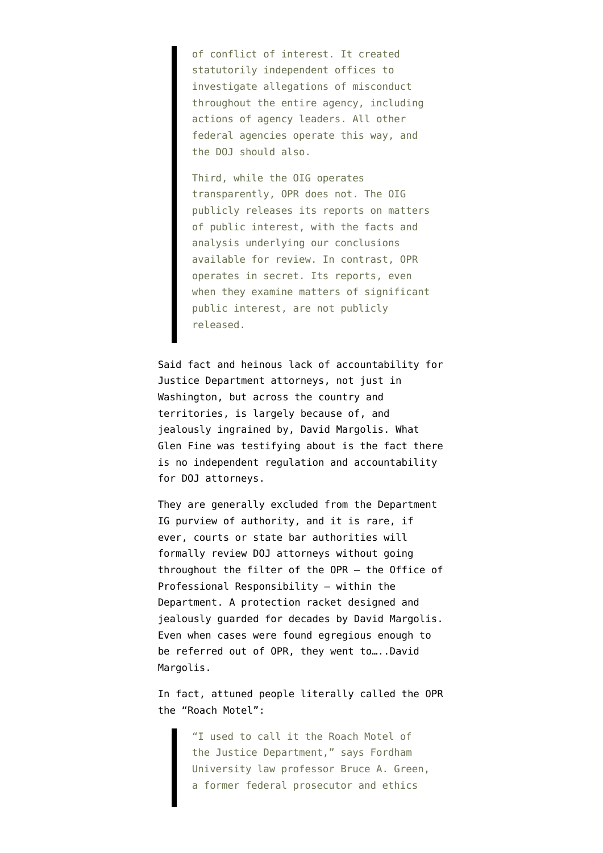of conflict of interest. It created statutorily independent offices to investigate allegations of misconduct throughout the entire agency, including actions of agency leaders. All other federal agencies operate this way, and the DOJ should also.

Third, while the OIG operates transparently, OPR does not. The OIG publicly releases its reports on matters of public interest, with the facts and analysis underlying our conclusions available for review. In contrast, OPR operates in secret. Its reports, even when they examine matters of significant public interest, are not publicly released.

Said fact and heinous lack of accountability for Justice Department attorneys, not just in Washington, but across the country and territories, is largely because of, and jealously ingrained by, David Margolis. What Glen Fine was testifying about is the fact there is no independent regulation and accountability for DOJ attorneys.

They are generally excluded from the Department IG purview of authority, and it is rare, if ever, courts or state bar authorities will formally review DOJ attorneys without going throughout the filter of the OPR – the Office of Professional Responsibility – within the Department. A protection racket designed and jealously guarded for decades by David Margolis. Even when cases were found egregious enough to be referred out of OPR, they went to…..David Margolis.

In fact, attuned people literally called the OPR [the "Roach Motel":](http://www.abajournal.com/magazine/article/the_roach_motel/)

> "I used to call it the Roach Motel of the Justice Department," says Fordham University law professor Bruce A. Green, a former federal prosecutor and ethics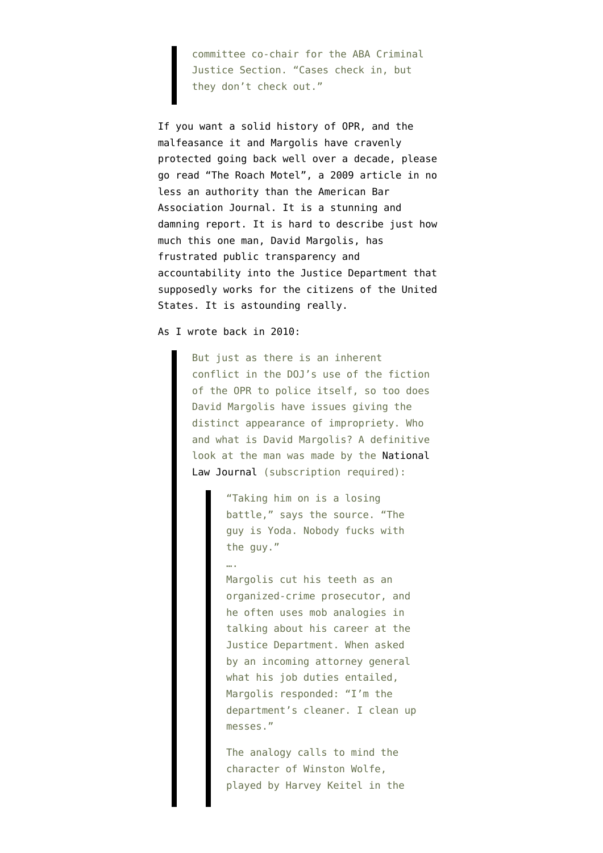committee co-chair for the ABA Criminal Justice Section. "Cases check in, but they don't check out."

If you want a solid history of OPR, and the malfeasance it and Margolis have cravenly protected going back well over a decade, please go read ["The Roach Motel", a 2009 article in no](http://www.abajournal.com/magazine/article/the_roach_motel/) [less an authority than the American Bar](http://www.abajournal.com/magazine/article/the_roach_motel/) [Association Journal](http://www.abajournal.com/magazine/article/the_roach_motel/). It is a stunning and damning report. It is hard to describe just how much this one man, David Margolis, has frustrated public transparency and accountability into the Justice Department that supposedly works for the citizens of the United States. It is astounding really.

As [I wrote back in 2010:](https://www.emptywheel.net/2010/02/21/the-inherent-conflict-in-dojs-opr-and-its-david-margolis/)

….

But just as there is an inherent conflict in the DOJ's use of the fiction of the OPR to police itself, so too does David Margolis have issues giving the distinct appearance of impropriety. Who and what is David Margolis? A definitive look at the man was made by the [National](http://www.law.com/jsp/nlj/legaltimes/PubArticleLT.jsp?id=1158138322377) [Law Journal](http://www.law.com/jsp/nlj/legaltimes/PubArticleLT.jsp?id=1158138322377) (subscription required):

> "Taking him on is a losing battle," says the source. "The guy is Yoda. Nobody fucks with the guy."

Margolis cut his teeth as an organized-crime prosecutor, and he often uses mob analogies in talking about his career at the Justice Department. When asked by an incoming attorney general what his job duties entailed, Margolis responded: "I'm the department's cleaner. I clean up messes."

The analogy calls to mind the character of Winston Wolfe, played by Harvey Keitel in the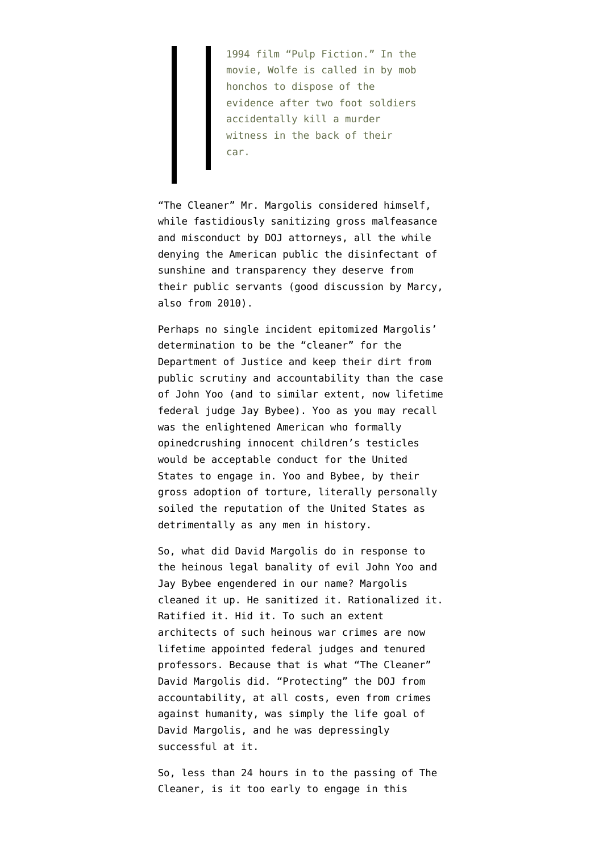1994 film "Pulp Fiction." In the movie, Wolfe is called in by mob honchos to dispose of the evidence after two foot soldiers accidentally kill a murder witness in the back of their car.

"The Cleaner" Mr. Margolis considered himself, while fastidiously sanitizing gross malfeasance and misconduct by DOJ attorneys, all the while denying the American public the disinfectant of sunshine and transparency they deserve from their public servants ([good discussion by Marcy,](https://www.emptywheel.net/2010/03/05/we-all-benefited-from-margolis-tenure/) [also from 2010](https://www.emptywheel.net/2010/03/05/we-all-benefited-from-margolis-tenure/)).

Perhaps no single incident epitomized Margolis' determination to be the "cleaner" for the Department of Justice and keep their dirt from public scrutiny and accountability than the case of John Yoo (and to similar extent, now lifetime federal judge Jay Bybee). Yoo as you may recall was the enlightened American who formally opine[dcrushing innocent children's testicles](http://www.dailykos.com/story/2011/4/29/971038/-) would be acceptable conduct for the United States to engage in. Yoo and Bybee, by their gross adoption of torture, literally personally soiled the reputation of the United States as detrimentally as any men in history.

So, what did David Margolis do in response to the heinous legal banality of evil John Yoo and Jay Bybee engendered in our name? [Margolis](http://harpers.org/blog/2010/02/the-margolis-memo/) [cleaned it up](http://harpers.org/blog/2010/02/the-margolis-memo/). He sanitized it. Rationalized it. Ratified it. Hid it. To such an extent architects of such heinous war crimes are now lifetime appointed federal judges and tenured professors. Because that is what "The Cleaner" David Margolis did. "Protecting" the DOJ from accountability, at all costs, even from crimes against humanity, was simply the life goal of David Margolis, and he was depressingly successful at it.

So, less than 24 hours in to the passing of The Cleaner, is it too early to engage in this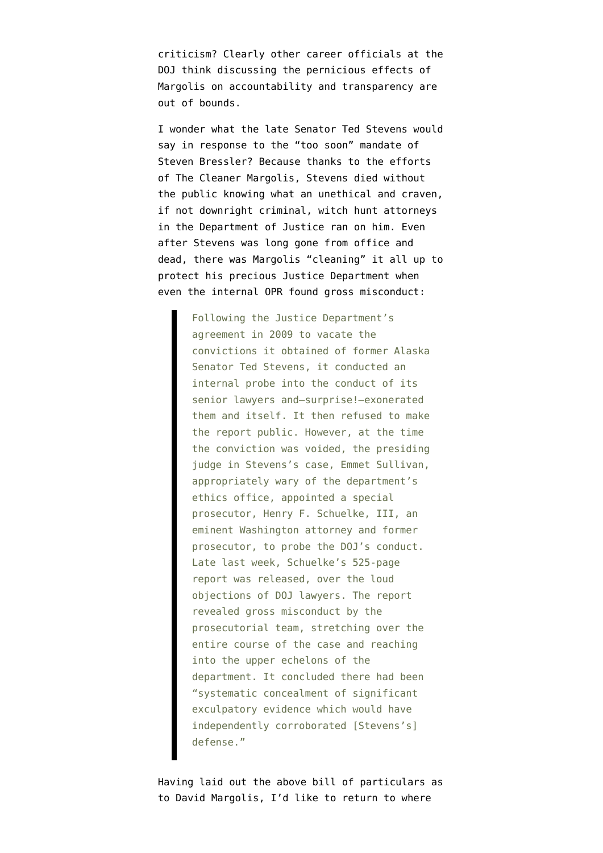criticism? [Clearly other career officials at the](https://twitter.com/steven_bressler/status/753020368894451712) [DOJ think discussing the pernicious effects of](https://twitter.com/steven_bressler/status/753020368894451712) [Margolis on accountability and transparency are](https://twitter.com/steven_bressler/status/753020368894451712) [out of bounds](https://twitter.com/steven_bressler/status/753020368894451712).

I wonder what the late Senator Ted Stevens would say in response to the "too soon" mandate of Steven Bressler? Because thanks to the efforts of The Cleaner Margolis, Stevens died without the public knowing what an unethical and craven, if not downright criminal, witch hunt attorneys in the Department of Justice ran on him. Even after Stevens was long gone from office and dead, there was Margolis "cleaning" it all up to protect his precious Justice Department when [even the internal OPR found gross misconduct](http://harpers.org/blog/2012/03/what-the-stevens-case-tells-us/):

> Following the Justice Department's agreement in 2009 to vacate the convictions it obtained of former Alaska Senator Ted Stevens, it conducted an internal probe into the conduct of its senior lawyers and—surprise!—exonerated them and itself. It then refused to make the report public. However, at the time the conviction was voided, the presiding judge in Stevens's case, Emmet Sullivan, appropriately wary of the department's ethics office, appointed a special prosecutor, Henry F. Schuelke, III, an eminent Washington attorney and former prosecutor, to probe the DOJ's conduct. Late last week, Schuelke's 525-page report was released, over the loud objections of DOJ lawyers. The report revealed gross misconduct by the prosecutorial team, stretching over the entire course of the case and reaching into the upper echelons of the department. It concluded there had been "systematic concealment of significant exculpatory evidence which would have independently corroborated [Stevens's] defense."

Having laid out the above bill of particulars as to David Margolis, I'd like to return to where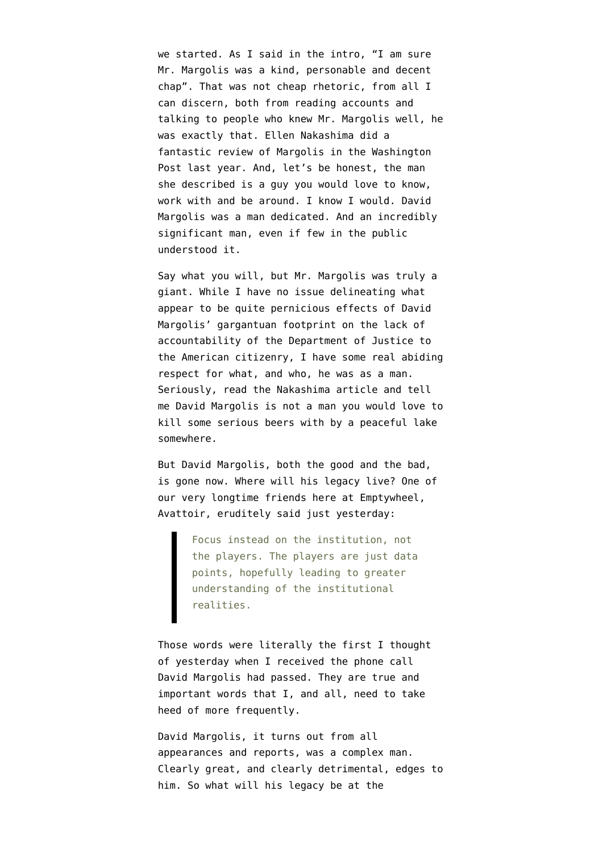we started. As I said in the intro, "I am sure Mr. Margolis was a kind, personable and decent chap". That was not cheap rhetoric, from all I can discern, both from reading accounts and talking to people who knew Mr. Margolis well, he was exactly that. [Ellen Nakashima did a](https://www.washingtonpost.com/world/national-security/david-margoliss-50-years-of-quips-and-controversies-at-justice-department/2015/07/15/920c33c2-1f38-11e5-bf41-c23f5d3face1_story.html) [fantastic review of Margolis in the Washington](https://www.washingtonpost.com/world/national-security/david-margoliss-50-years-of-quips-and-controversies-at-justice-department/2015/07/15/920c33c2-1f38-11e5-bf41-c23f5d3face1_story.html) [Post last year](https://www.washingtonpost.com/world/national-security/david-margoliss-50-years-of-quips-and-controversies-at-justice-department/2015/07/15/920c33c2-1f38-11e5-bf41-c23f5d3face1_story.html). And, let's be honest, the man she described is a guy you would love to know, work with and be around. I know I would. David Margolis was a man dedicated. And an incredibly significant man, even if few in the public understood it.

Say what you will, but Mr. Margolis was truly a giant. While I have no issue delineating what appear to be quite pernicious effects of David Margolis' gargantuan footprint on the lack of accountability of the Department of Justice to the American citizenry, I have some real abiding respect for what, and who, he was as a man. Seriously, read the [Nakashima article](https://www.washingtonpost.com/world/national-security/david-margoliss-50-years-of-quips-and-controversies-at-justice-department/2015/07/15/920c33c2-1f38-11e5-bf41-c23f5d3face1_story.html) and tell me David Margolis is not a man you would love to kill some serious beers with by a peaceful lake somewhere.

But David Margolis, both the good and the bad, is gone now. Where will his legacy live? One of our very longtime friends here at Emptywheel, Avattoir, [eruditely said just yesterday:](https://www.emptywheel.net/2016/07/11/what-about-loretta-lynchs-insinuation-doj-didnt-have-enough-evidence/#comment-704122)

> Focus instead on the institution, not the players. The players are just data points, hopefully leading to greater understanding of the institutional realities.

Those words were literally the first I thought of yesterday when I received the phone call David Margolis had passed. They are true and important words that I, and all, need to take heed of more frequently.

David Margolis, it turns out from all appearances and reports, was a complex man. Clearly great, and clearly detrimental, edges to him. So what will his legacy be at the